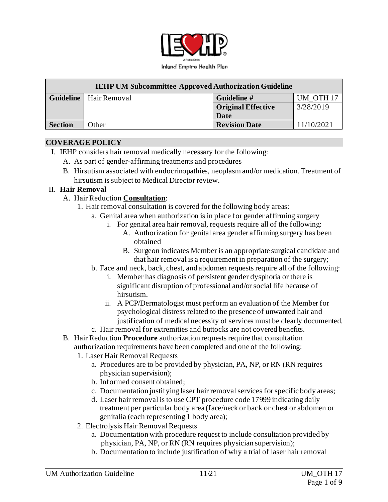

| <b>IEHP UM Subcommittee Approved Authorization Guideline</b> |                                 |                           |                      |  |  |  |  |
|--------------------------------------------------------------|---------------------------------|---------------------------|----------------------|--|--|--|--|
|                                                              | <b>Guideline</b>   Hair Removal | Guideline #               | UM OTH <sub>17</sub> |  |  |  |  |
|                                                              |                                 | <b>Original Effective</b> | 3/28/2019            |  |  |  |  |
|                                                              |                                 | Date                      |                      |  |  |  |  |
| <b>Section</b>                                               | Other                           | <b>Revision Date</b>      | 11/10/2021           |  |  |  |  |

#### **COVERAGE POLICY**

- I. IEHP considers hair removal medically necessary for the following:
	- A. As part of gender-affirming treatments and procedures
	- B. Hirsutism associated with endocrinopathies, neoplasm and/or medication. Treatment of hirsutism is subject to Medical Director review.

#### II. **Hair Removal**

- A. Hair Reduction **Consultation**:
	- 1. Hair removal consultation is covered for the following body areas:
		- a. Genital area when authorization is in place for gender affirming surgery
			- i. For genital area hair removal, requests require all of the following:
				- A. Authorization for genital area gender affirming surgery has been obtained
				- B. Surgeon indicates Member is an appropriate surgical candidate and that hair removal is a requirement in preparation of the surgery;
		- b. Face and neck, back, chest, and abdomen requests require all of the following:
			- i. Member has diagnosis of persistent gender dysphoria or there is significant disruption of professional and/or social life because of hirsutism.
			- ii. A PCP/Dermatologist must perform an evaluation of the Member for psychological distress related to the presence of unwanted hair and justification of medical necessity of services must be clearly documented.
		- c. Hair removal for extremities and buttocks are not covered benefits.
- B. Hair Reduction **Procedure** authorization requests require that consultation authorization requirements have been completed and one of the following:
	- 1. Laser Hair Removal Requests
		- a. Procedures are to be provided by physician, PA, NP, or RN (RN requires physician supervision);
		- b. Informed consent obtained;
		- c. Documentation justifying laser hair removal services for specific body areas;
		- d. Laser hair removal is to use CPT procedure code 17999 indicating daily treatment per particular body area (face/neck or back or chest or abdomen or genitalia (each representing 1 body area);
	- 2. Electrolysis Hair Removal Requests
		- a. Documentation with procedure request to include consultation provided by physician, PA, NP, or RN (RN requires physician supervision);
		- b. Documentation to include justification of why a trial of laser hair removal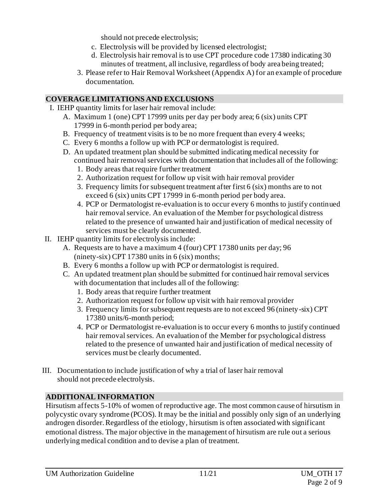should not precede electrolysis;

- c. Electrolysis will be provided by licensed electrologist;
- d. Electrolysis hair removal is to use CPT procedure code 17380 indicating 30 minutes of treatment, all inclusive, regardless of body area being treated;
- 3. Please refer to Hair Removal Worksheet (Appendix A) for an example of procedure documentation.

### **COVERAGE LIMITATIONS AND EXCLUSIONS**

- I. IEHP quantity limits for laser hair removal include:
	- A. Maximum 1 (one) CPT 17999 units per day per body area; 6 (six) units CPT 17999 in 6-month period per body area;
	- B. Frequency of treatment visits is to be no more frequent than every 4 weeks;
	- C. Every 6 months a follow up with PCP or dermatologist is required.
	- D. An updated treatment plan should be submitted indicating medical necessity for continued hair removal services with documentation that includes all of the following:
		- 1. Body areas that require further treatment
		- 2. Authorization request for follow up visit with hair removal provider
		- 3. Frequency limits for subsequent treatment after first 6 (six) months are to not exceed 6 (six) units CPT 17999 in 6-month period per body area.
		- 4. PCP or Dermatologist re-evaluation is to occur every 6 months to justify continued hair removal service. An evaluation of the Member for psychological distress related to the presence of unwanted hair and justification of medical necessity of services must be clearly documented.
- II. IEHP quantity limits for electrolysis include:
	- A. Requests are to have a maximum 4 (four) CPT 17380 units per day; 96 (ninety-six) CPT 17380 units in 6 (six) months;
	- B. Every 6 months a follow up with PCP or dermatologist is required.
	- C. An updated treatment plan should be submitted for continued hair removal services with documentation that includes all of the following:
		- 1. Body areas that require further treatment
		- 2. Authorization request for follow up visit with hair removal provider
		- 3. Frequency limits for subsequent requests are to not exceed 96 (ninety-six) CPT 17380 units/6-month period;
		- 4. PCP or Dermatologist re-evaluation is to occur every 6 months to justify continued hair removal services. An evaluation of the Member for psychological distress related to the presence of unwanted hair and justification of medical necessity of services must be clearly documented.
- III. Documentation to include justification of why a trial of laser hair removal should not precede electrolysis.

## **ADDITIONAL INFORMATION**

Hirsutism affects 5-10% of women of reproductive age. The most common cause of hirsutism in polycystic ovary syndrome (PCOS). It may be the initial and possibly only sign of an underlying androgen disorder. Regardless of the etiology, hirsutism is often associated with significant emotional distress. The major objective in the management of hirsutism are rule out a serious underlying medical condition and to devise a plan of treatment.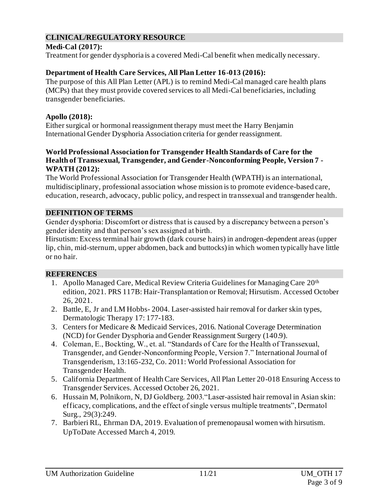### **CLINICAL/REGULATORY RESOURCE**

#### **Medi-Cal (2017):**

Treatment for gender dysphoria is a covered Medi-Cal benefit when medically necessary.

### **Department of Health Care Services, All Plan Letter 16-013 (2016):**

The purpose of this All Plan Letter (APL) is to remind Medi-Cal managed care health plans (MCPs) that they must provide covered services to all Medi-Cal beneficiaries, including transgender beneficiaries.

### **Apollo (2018):**

Either surgical or hormonal reassignment therapy must meet the Harry Benjamin International Gender Dysphoria Association criteria for gender reassignment.

#### **World Professional Association for Transgender Health Standards of Care for the Health of Transsexual, Transgender, and Gender-Nonconforming People, Version 7 - WPATH (2012):**

The World Professional Association for Transgender Health (WPATH) is an international, multidisciplinary, professional association whose mission is to promote evidence-based care, education, research, advocacy, public policy, and respect in transsexual and transgender health.

### **DEFINITION OF TERMS**

Gender dysphoria: Discomfort or distress that is caused by a discrepancy between a person's gender identity and that person's sex assigned at birth.

Hirsutism: Excess terminal hair growth (dark course hairs) in androgen-dependent areas (upper lip, chin, mid-sternum, upper abdomen, back and buttocks) in which women typically have little or no hair.

### **REFERENCES**

- 1. Apollo Managed Care, Medical Review Criteria Guidelines for Managing Care 20th edition, 2021. PRS 117B: Hair-Transplantation or Removal; Hirsutism. Accessed October 26, 2021.
- 2. Battle, E, Jr and LM Hobbs- 2004. Laser-assisted hair removal for darker skin types, Dermatologic Therapy 17: 177-183.
- 3. Centers for Medicare & Medicaid Services, 2016. National Coverage Determination (NCD) for Gender Dysphoria and Gender Reassignment Surgery (140.9).
- 4. Coleman, E., Bockting, W., et. al. "Standards of Care for the Health of Transsexual, Transgender, and Gender-Nonconforming People, Version 7." International Journal of Transgenderism, 13:165-232, Co. 2011: World Professional Association for Transgender Health.
- 5. California Department of Health Care Services, All Plan Letter 20-018 Ensuring Access to Transgender Services. Accessed October 26, 2021.
- 6. Hussain M, Polnikorn, N, DJ Goldberg. 2003."Laser-assisted hair removal in Asian skin: efficacy, complications, and the effect of single versus multiple treatments", Dermatol Surg., 29(3):249.
- 7. Barbieri RL, Ehrman DA, 2019. Evaluation of premenopausal women with hirsutism. UpToDate Accessed March 4, 2019.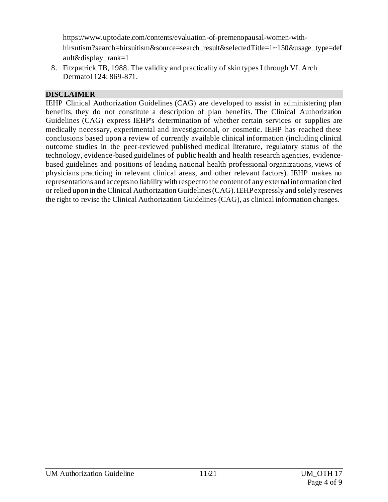[https://www.uptodate.com/contents/evaluation-of-premenopausal-women-with](https://www.uptodate.com/contents/evaluation-of-premenopausal-women-with-hirsutism?search=hirsuitism&source=search_result&selectedTitle=1~150&usage_type=default&display_rank=1)[hirsutism?search=hirsuitism&source=search\\_result&selectedTitle=1~150&usage\\_type=def](https://www.uptodate.com/contents/evaluation-of-premenopausal-women-with-hirsutism?search=hirsuitism&source=search_result&selectedTitle=1~150&usage_type=default&display_rank=1) [ault&display\\_rank=1](https://www.uptodate.com/contents/evaluation-of-premenopausal-women-with-hirsutism?search=hirsuitism&source=search_result&selectedTitle=1~150&usage_type=default&display_rank=1)

8. Fitzpatrick TB, 1988. The validity and practicality of skin types I through VI. Arch Dermatol 124: 869-871.

### **DISCLAIMER**

IEHP Clinical Authorization Guidelines (CAG) are developed to assist in administering plan benefits, they do not constitute a description of plan benefits. The Clinical Authorization Guidelines (CAG) express IEHP's determination of whether certain services or supplies are medically necessary, experimental and investigational, or cosmetic. IEHP has reached these conclusions based upon a review of currently available clinical information (including clinical outcome studies in the peer-reviewed published medical literature, regulatory status of the technology, evidence-based guidelines of public health and health research agencies, evidencebased guidelines and positions of leading national health professional organizations, views of physicians practicing in relevant clinical areas, and other relevant factors). IEHP makes no representations and accepts no liability with respect to the content of any external information cited or relied upon in the Clinical Authorization Guidelines (CAG). IEHP expressly and solely reserves the right to revise the Clinical Authorization Guidelines (CAG), as clinical information changes.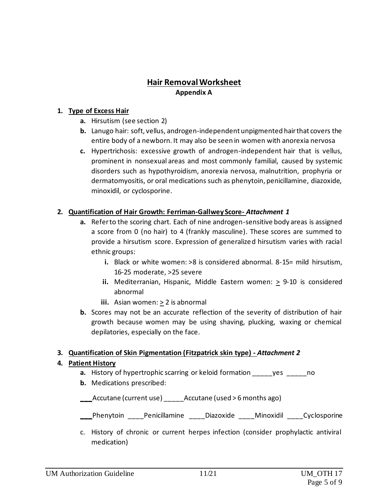## **Hair Removal Worksheet Appendix A**

#### **1. Type of Excess Hair**

- **a.** Hirsutism (see section 2)
- **b.** Lanugo hair: soft, vellus, androgen-independent unpigmented hair that covers the entire body of a newborn. It may also be seen in women with anorexia nervosa
- **c.** Hypertrichosis: excessive growth of androgen-independent hair that is vellus, prominent in nonsexual areas and most commonly familial, caused by systemic disorders such as hypothyroidism, anorexia nervosa, malnutrition, prophyria or dermatomyositis, or oral medications such as phenytoin, penicillamine, diazoxide, minoxidil, or cyclosporine.

### **2. Quantification of Hair Growth: Ferriman-Gallwey Score-** *Attachment 1*

- **a.** Refer to the scoring chart. Each of nine androgen-sensitive body areas is assigned a score from 0 (no hair) to 4 (frankly masculine). These scores are summed to provide a hirsutism score. Expression of generalized hirsutism varies with racial ethnic groups:
	- **i.** Black or white women: >8 is considered abnormal. 8-15= mild hirsutism, 16-25 moderate, >25 severe
	- **ii.** Mediterranian, Hispanic, Middle Eastern women: > 9-10 is considered abnormal
	- **iii.** Asian women: > 2 is abnormal
- **b.** Scores may not be an accurate reflection of the severity of distribution of hair growth because women may be using shaving, plucking, waxing or chemical depilatories, especially on the face.

### **3. Quantification of Skin Pigmentation (Fitzpatrick skin type) -** *Attachment 2*

### **4. Patient History**

- **a.** History of hypertrophic scarring or keloid formation yes on o
- **b.** Medications prescribed:

**\_\_\_**Accutane (current use) \_\_\_\_\_Accutane (used > 6 months ago)

Phenytoin Penicillamine Diazoxide Minoxidil Cyclosporine

c. History of chronic or current herpes infection (consider prophylactic antiviral medication)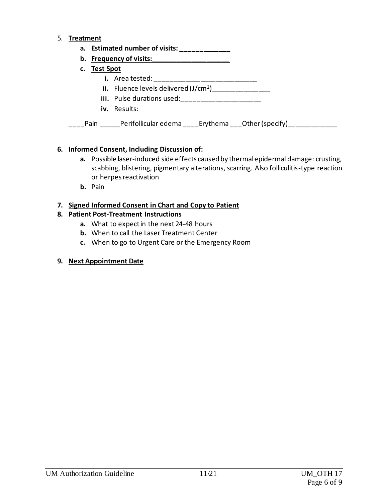#### 5. **Treatment**

|              | a. Estimated number of visits:                                |
|--------------|---------------------------------------------------------------|
|              | b. Frequency of visits:                                       |
| c. Test Spot |                                                               |
|              | <b>i.</b> Area tested: _____________                          |
|              | <b>ii.</b> Fluence levels delivered (J/cm <sup>2</sup> )      |
|              | iii. Pulse durations used:                                    |
|              | iv. Results:                                                  |
| Pain         | Perifollicular edema          Erythema        Other (specify) |

### **6. Informed Consent, Including Discussion of:**

- **a.** Possible laser-induced side effects caused by thermal epidermal damage: crusting, scabbing, blistering, pigmentary alterations, scarring. Also folliculitis-type reaction or herpes reactivation
- **b.** Pain

### **7. Signed Informed Consent in Chart and Copy to Patient**

### **8. Patient Post-Treatment Instructions**

- **a.** What to expect in the next 24-48 hours
- **b.** When to call the Laser Treatment Center
- **c.** When to go to Urgent Care or the Emergency Room

### **9. Next Appointment Date**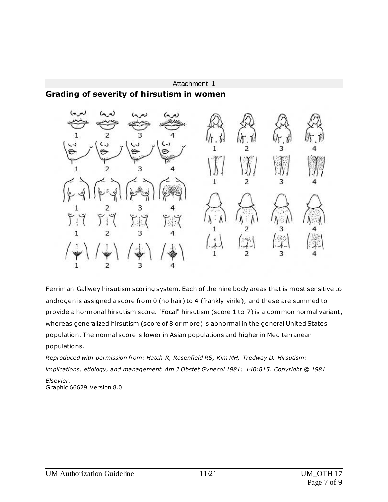#### Attachment 1

### **Grading of severity of hirsutism in women**



Ferriman-Gallwey hirsutism scoring system. Each of the nine body areas that is most sensitive to androgen is assigned a score from 0 (no hair) to 4 (frankly virile), and these are summed to provide a hormonal hirsutism score. "Focal" hirsutism (score 1 to 7) is a common normal variant, whereas generalized hirsutism (score of 8 or more) is abnormal in the general United States population. The normal score is lower in Asian populations and higher in Mediterranean populations.

*Reproduced with permission from: Hatch R, Rosenfield RS, Kim MH, Tredway D. Hirsutism: implications, etiology, and management. Am J Obstet Gynecol 1981; 140:815. Copyright © 1981 Elsevier.* Graphic 66629 Version 8.0